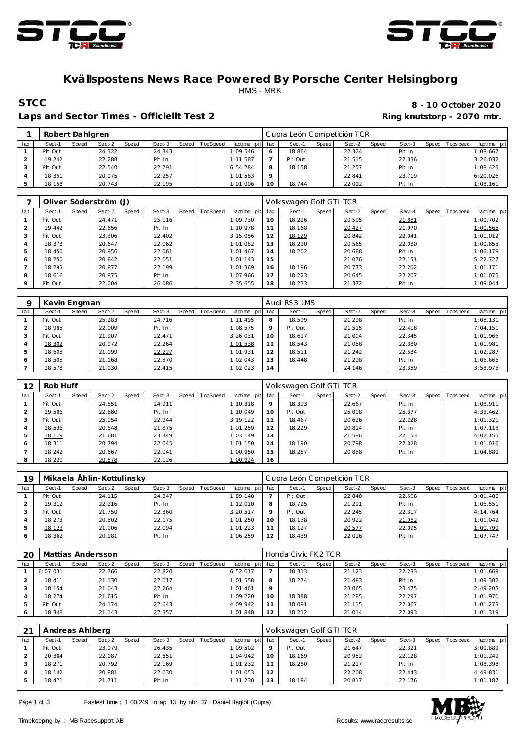



#### **Kvällspostens News Race Powered By Porsche Center Helsingborg** HMS - MRK

#### Laps and Sector Times - Officiellt Test 2 **Ring knutstorp - 2070 mtr.**

# **STCC 8 - 10 October 2020**

|     | Robert Dahlgren |       |        |       |        |                |                 |         | Cupra León Competición TCR |       |        |       |        |         |                  |             |
|-----|-----------------|-------|--------|-------|--------|----------------|-----------------|---------|----------------------------|-------|--------|-------|--------|---------|------------------|-------------|
| lap | Sect-1          | Speed | Sect-2 | Speed | Sect-3 | Speed TopSpeed | laptime pit lap |         | Sect-'                     | Speed | Sect-2 | Speed | Sect-3 | Speed I | <b>Tops peed</b> | laptime pit |
|     | Pit Out         |       | 24.322 |       | 24.343 |                | 1:09.546        | 6       | 18.864                     |       | 22.324 |       | Pit In |         |                  | 1:08.667    |
|     | 19.242          |       | 22.288 |       | Pit In |                | 1:11.587        |         | Pit Out                    |       | 21.515 |       | 22.336 |         |                  | 3:26.032    |
|     | Pit Out         |       | 22.540 |       | 22.791 |                | 6:54.284        | 8       | 18.158                     |       | 21.257 |       | Pit In |         |                  | 1:08.425    |
|     | 18.351          |       | 20.975 |       | 22.257 |                | 1:01.583        | $\circ$ |                            |       | 22.841 |       | 23.719 |         |                  | 6:20.026    |
|     | 18.158          |       | 20.743 |       | 22.195 |                | 1:01.096        | 10      | 18.744                     |       | 22.002 |       | Pit In |         |                  | 1:08.161    |

|     |         |       | Oliver Söderström (J) |       |        |       |          |                 |    | Volkswagen Golf GTI TCR |       |        |       |        |                   |             |
|-----|---------|-------|-----------------------|-------|--------|-------|----------|-----------------|----|-------------------------|-------|--------|-------|--------|-------------------|-------------|
| lap | Sect-1  | Speed | Sect-2                | Speed | Sect-3 | Speed | TopSpeed | laptime pit lap |    | Sect-1                  | Speed | Sect-2 | Speed | Sect-3 | Speed   Tops peed | laptime pit |
|     | Pit Out |       | 24.471                |       | 25.116 |       |          | 1:09.730        | 10 | 18.226                  |       | 20.595 |       | 21.881 |                   | 1:00.702    |
|     | 19.442  |       | 22.656                |       | Pit In |       |          | 1:10.978        | 11 | 18.168                  |       | 20.427 |       | 21.970 |                   | 1:00.565    |
|     | Pit Out |       | 23.306                |       | 22.402 |       |          | 3:15.056        | 12 | 18.129                  |       | 20.842 |       | 22.041 |                   | 1:01.012    |
|     | 18.373  |       | 20.647                |       | 22.062 |       |          | 1:01.082        | 13 | 18.210                  |       | 20.565 |       | 22.080 |                   | 1:00.855    |
|     | 18.450  |       | 20.956                |       | 22.061 |       |          | 1:01.467        | 14 | 18.202                  |       | 20.688 |       | Pit In |                   | 1:06.179    |
| 6   | 18.250  |       | 20.842                |       | 22.051 |       |          | 1:01.143        | 15 |                         |       | 21.076 |       | 22.151 |                   | 5:22.727    |
|     | 18.293  |       | 20.877                |       | 22.199 |       |          | 1:01.369        | 16 | 18.196                  |       | 20.773 |       | 22.202 |                   | 1:01.171    |
| 8   | 18.616  |       | 20.875                |       | Pit In |       |          | 1:07.966        | 17 | 18.223                  |       | 20.645 |       | 22.207 |                   | 1:01.075    |
|     | Pit Out |       | 22.004                |       | 26.086 |       |          | 2:35.655        | 18 | 18.233                  |       | 21.372 |       | Pit In |                   | 1:09.044    |

|     | Kevin Engman |              |        |       |        |       |                 |             |         | Audi RS3 LMS |       |        |       |        |       |           |             |
|-----|--------------|--------------|--------|-------|--------|-------|-----------------|-------------|---------|--------------|-------|--------|-------|--------|-------|-----------|-------------|
| lap | Sect-1       | <b>Speed</b> | Sect-2 | Speed | Sect-3 | Speed | <b>TopSpeed</b> | laptime pit | lap     | Sect-1       | Speed | Sect-2 | Speed | Sect-3 | Speed | Tops peed | laptime pit |
|     | Pit Out      |              | 25.283 |       | 24.716 |       |                 | 1:11.495    | 8       | 18.599       |       | 21.298 |       | Pit In |       |           | 1:08.131    |
|     | 18.985       |              | 22.009 |       | Pit In |       |                 | 1:08.575    | $\circ$ | Pit Out      |       | 21.515 |       | 22.418 |       |           | 7:04.151    |
|     | Pit Out      |              | 21.907 |       | 22.471 |       |                 | 3:26.031    | 10      | 18.617       |       | 21.004 |       | 22.345 |       |           | 1:01.966    |
|     | 18.302       |              | 20.972 |       | 22.264 |       |                 | 1:01.538    | 11      | 18.543       |       | 21.058 |       | 22.380 |       |           | 1:01.981    |
|     | 18.605       |              | 21.099 |       | 22.227 |       |                 | 1:01.931    | 12      | 18.511       |       | 21.242 |       | 22.534 |       |           | 1:02.287    |
|     | 18.505       |              | 21.168 |       | 22.370 |       |                 | 1:02.043    | 13      | 18.448       |       | 21.298 |       | Pit In |       |           | 1:06.665    |
|     | 18.578       |              | 21.030 |       | 22.415 |       |                 | 1:02.023    | 14      |              |       | 24.146 |       | 23.359 |       |           | 3:58.975    |

| 12  | Rob Huff |       |        |       |        |       |          |                |         | Volkswagen Golf GTI TCR |       |        |       |        |       |             |             |
|-----|----------|-------|--------|-------|--------|-------|----------|----------------|---------|-------------------------|-------|--------|-------|--------|-------|-------------|-------------|
| lap | Sect-1   | Speed | Sect-2 | Speed | Sect-3 | Speed | TopSpeed | laptime<br>pit | lap     | Sect-1                  | Speed | Sect-2 | Speed | Sect-3 | Speed | T ops pee d | laptime pit |
|     | Pit Out  |       | 24.851 |       | 24.911 |       |          | 1:10.318       | $\circ$ | 18.393                  |       | 22.667 |       | Pit In |       |             | 1:08.911    |
|     | 19.506   |       | 22.680 |       | Pit In |       |          | 1:10.049       | 10      | Pit Out                 |       | 25.008 |       | 25.377 |       |             | 4:33.462    |
|     | Pit Out  |       | 25.954 |       | 22.944 |       |          | 3:19.122       |         | 18.467                  |       | 20.626 |       | 22.228 |       |             | 1:01.321    |
|     | 18.536   |       | 20.848 |       | 21.875 |       |          | 1:01.259       | 12      | 18.229                  |       | 20.814 |       | Pit In |       |             | 1:07.118    |
|     | 18.119   |       | 21.681 |       | 23.349 |       |          | 1:03.149       | 13      |                         |       | 21.596 |       | 22.153 |       |             | 4:02.155    |
| 6   | 18.311   |       | 20.794 |       | 22.045 |       |          | 1:01.150       | 14      | 18.190                  |       | 20.798 |       | 22.028 |       |             | 1:01.016    |
|     | 18.242   |       | 20.667 |       | 22.041 |       |          | 1:00.950       | 15      | 18.257                  |       | 20.888 |       | Pit In |       |             | 1:04.889    |
| 8   | 18.220   |       | 20.578 |       | 22.126 |       |          | 1:00.924       | 16      |                         |       |        |       |        |       |             |             |

| 19  |         |       | Mikaela Ählin-Kottulinsky |       |        |       |          |             |         | Cupra León Competición TCR |       |        |       |        |                 |             |
|-----|---------|-------|---------------------------|-------|--------|-------|----------|-------------|---------|----------------------------|-------|--------|-------|--------|-----------------|-------------|
| lap | Sect-1  | Speed | Sect-2                    | Speed | Sect-3 | Speed | TopSpeed | laptime pit | lap     | Sect-1                     | Speed | Sect-2 | Speed | Sect-3 | Speed Tops peed | laptime pit |
|     | Pit Out |       | 24.115                    |       | 24.347 |       |          | 1:09.148    |         | Pit Out                    |       | 22.840 |       | 22.506 |                 | 3:01.400    |
|     | 19.312  |       | 22.216                    |       | Pit In |       |          | 1:12.010    | 8       | 18.725                     |       | 21.291 |       | Pit In |                 | 1:06.551    |
|     | Pit Out |       | 21.750                    |       | 22.360 |       |          | 3:20.517    | $\circ$ | Pit Out                    |       | 22.245 |       | 22.317 |                 | 4:14.764    |
|     | 18.273  |       | 20.802                    |       | 22.175 |       |          | 1:01.250    | 10      | 18.138                     |       | 20.922 |       | 21.982 |                 | 1:01.042    |
|     | 18.123  |       | 21.006                    |       | 22.094 |       |          | 1:01.223    |         | 18.127                     |       | 20.577 |       | 22.095 |                 | 1:00.799    |
|     | 18.362  |       | 20.981                    |       | Pit In |       |          | 1:06.259    | 12      | 18.439                     |       | 22.016 |       | Pit In |                 | 1:07.747    |

| 20            |          |       | Mattias Andersson |       |        |       |                 |             |         | Honda Civic FK2 TCR |       |        |       |        |         |             |             |
|---------------|----------|-------|-------------------|-------|--------|-------|-----------------|-------------|---------|---------------------|-------|--------|-------|--------|---------|-------------|-------------|
| lap           | Sect-1   | Speed | Sect-2            | Speed | Sect-3 | Speed | <b>TopSpeed</b> | laptime pit | lap     | Sect-1              | Speed | Sect-2 | Speed | Sect-3 | Speed I | T ops pee d | laptime pit |
|               | 6:07.031 |       | 22.766            |       | 22.820 |       |                 | 6:52.617    |         | 18.313              |       | 21.123 |       | 22.233 |         |             | 1:01.669    |
|               | 18.411   |       | 21.130            |       | 22.017 |       |                 | 1:01.558    | 8       | 18.274              |       | 21.483 |       | Pit In |         |             | 1:09.382    |
|               | 18.154   |       | 21.043            |       | 22.264 |       |                 | 1:01.461    | $\circ$ |                     |       | 23.065 |       | 23.475 |         |             | 2:49.203    |
|               | 18.274   |       | 21.615            |       | Pit In |       |                 | 1:09.220    |         | 18.388              |       | 21.285 |       | 22.297 |         |             | 1:01.970    |
| $\mathcal{P}$ | Pit Out  |       | 24.174            |       | 22.643 |       |                 | 4:09.942    |         | 18.091              |       | 21.115 |       | 22.067 |         |             | 1:01.273    |
| 6             | 18.348   |       | 21.143            |       | 22.357 |       |                 | 1:01.848    | 12      | 18.212              |       | 21.014 |       | 22.093 |         |             | 1:01.319    |

| つ1  | Andreas Ahlberg |       |        |       |        |       |                 |             |     | Volkswagen Golf GTI TCR |       |        |       |        |       |            |             |
|-----|-----------------|-------|--------|-------|--------|-------|-----------------|-------------|-----|-------------------------|-------|--------|-------|--------|-------|------------|-------------|
| lap | Sect-1          | Speed | Sect-2 | Speed | Sect-3 | Speed | <b>TopSpeed</b> | laptime pit | lap | Sect-1                  | Speed | Sect-2 | Speed | Sect-3 | Speed | Tops pee d | laptime pit |
|     | Pit Out         |       | 23.979 |       | 26.435 |       |                 | 1:09.502    |     | Pit Out                 |       | 21.647 |       | 22.321 |       |            | 3:00.889    |
|     | 20.304          |       | 22.087 |       | 22.551 |       |                 | 1:04.942    |     | 18.169                  |       | 20.952 |       | 22.128 |       |            | 1:01.249    |
|     | 18.271          |       | 20.792 |       | 22.169 |       |                 | 1:01.232    |     | 18.280                  |       | 21.217 |       | Pit In |       |            | 1:08.398    |
|     | 18.142          |       | 20.881 |       | 22.030 |       |                 | 1:01.053    | 12  |                         |       | 22.208 |       | 22.443 |       |            | 4:49.831    |
|     | 18.471          |       | 21.711 |       | Pit In |       |                 | 1:11.230    |     | 18.194                  |       | 20.817 |       | 22.176 |       |            | 1:01.187    |

Page 1 of 3 Fastest time : 1:00.249 in lap 13 by nbr. 37 : Daniel Haglöf (Cupra)

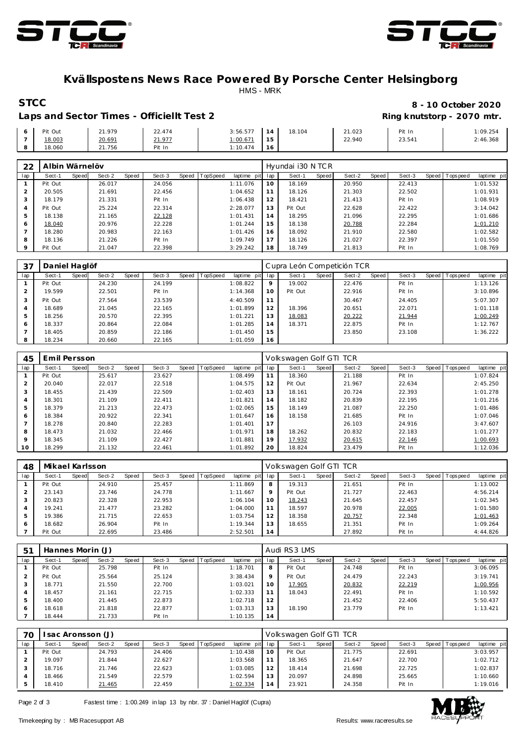



### **Kvällspostens News Race Powered By Porsche Center Helsingborg** HMS - MRK

#### **STCC 8 - 10 October 2020** Laps and Sector Times - Officiellt Test 2 **Ring knutstorp** - 2070 mtr.

| 6 <sup>1</sup> | Pit Out | 21.979 | 22.474 | 3:56.577 | 14              | 18.104 | 21.023 | Pit In | 1:09.254 |
|----------------|---------|--------|--------|----------|-----------------|--------|--------|--------|----------|
| $\overline{7}$ | 18.003  | 20.691 | 21.977 | 1:00.671 | $15 -$          |        | 22.940 | 23.541 | 2:46.368 |
| - 8            | 18.060  | 21.756 | Pit In | 1:10.474 | 16 <sub>1</sub> |        |        |        |          |

| 22      | Albin Wärnelöv |       |        |       |        |                |             |     | Hyundai i30 N TCR |       |        |       |        |                   |             |
|---------|----------------|-------|--------|-------|--------|----------------|-------------|-----|-------------------|-------|--------|-------|--------|-------------------|-------------|
| lap     | Sect-1         | Speed | Sect-2 | Speed | Sect-3 | Speed TopSpeed | laptime pit | lap | Sect-1            | Speed | Sect-2 | Speed | Sect-3 | Speed   Tops peed | laptime pit |
|         | Pit Out        |       | 26.017 |       | 24.056 |                | 1:11.076    | 10  | 18.169            |       | 20.950 |       | 22.413 |                   | 1:01.532    |
|         | 20.505         |       | 21.691 |       | 22.456 |                | 1:04.652    |     | 18.126            |       | 21.303 |       | 22.502 |                   | 1:01.931    |
| 3       | 18.179         |       | 21.331 |       | Pit In |                | 1:06.438    | 12  | 18.421            |       | 21.413 |       | Pit In |                   | 1:08.919    |
| 4       | Pit Out        |       | 25.224 |       | 22.314 |                | 2:28.077    | 13  | Pit Out           |       | 22.628 |       | 22.422 |                   | 3:14.042    |
| 5       | 18.138         |       | 21.165 |       | 22.128 |                | 1:01.431    | 14  | 18.295            |       | 21.096 |       | 22.295 |                   | 1:01.686    |
| 6       | 18.040         |       | 20.976 |       | 22.228 |                | 1:01.244    | 15  | 18.138            |       | 20.788 |       | 22.284 |                   | 1:01.210    |
|         | 18.280         |       | 20.983 |       | 22.163 |                | 1:01.426    | 16  | 18.092            |       | 21.910 |       | 22.580 |                   | 1:02.582    |
| 8       | 18.136         |       | 21.226 |       | Pit In |                | 1:09.749    | 17  | 18.126            |       | 21.027 |       | 22.397 |                   | 1:01.550    |
| $\circ$ | Pit Out        |       | 21.047 |       | 22.398 |                | 3:29.242    | 18  | 18.749            |       | 21.813 |       | Pit In |                   | 1:08.769    |

| 37  | Daniel Haglöf |       |        |       |        |                |             |         | Cupra León Competición TCR |       |        |       |        |                   |             |
|-----|---------------|-------|--------|-------|--------|----------------|-------------|---------|----------------------------|-------|--------|-------|--------|-------------------|-------------|
| lap | Sect-1        | Speed | Sect-2 | Speed | Sect-3 | Speed TopSpeed | laptime pit | lap     | Sect-1                     | Speed | Sect-2 | Speed | Sect-3 | Speed   Tops peed | laptime pit |
|     | Pit Out       |       | 24.230 |       | 24.199 |                | 1:08.822    | $\circ$ | 19.002                     |       | 22.476 |       | Pit In |                   | 1:13.126    |
| 2   | 19.599        |       | 22.501 |       | Pit In |                | 1:14.368    | 10      | Pit Out                    |       | 22.916 |       | Pit In |                   | 3:10.896    |
| 3   | Pit Out       |       | 27.564 |       | 23.539 |                | 4:40.509    | 11      |                            |       | 30.467 |       | 24.405 |                   | 5:07.307    |
| 4   | 18.689        |       | 21.045 |       | 22.165 |                | 1:01.899    | 12      | 18.396                     |       | 20.651 |       | 22.071 |                   | 1:01.118    |
| 5   | 18.256        |       | 20.570 |       | 22.395 |                | 1:01.221    | 13      | 18.083                     |       | 20.222 |       | 21.944 |                   | 1:00.249    |
| 6   | 18.337        |       | 20.864 |       | 22.084 |                | 1:01.285    | 14      | 18.371                     |       | 22.875 |       | Pit In |                   | 1:12.767    |
|     | 18.405        |       | 20.859 |       | 22.186 |                | 1:01.450    | 15      |                            |       | 23.850 |       | 23.108 |                   | 1:36.222    |
| 8   | 18.234        |       | 20.660 |       | 22.165 |                | 1:01.059    | 16      |                            |       |        |       |        |                   |             |

| 45             | Emil Persson |       |        |       |        |       |                 |             |     | Volkswagen Golf GTI TCR |       |        |       |        |                |             |
|----------------|--------------|-------|--------|-------|--------|-------|-----------------|-------------|-----|-------------------------|-------|--------|-------|--------|----------------|-------------|
| lap            | Sect-1       | Speed | Sect-2 | Speed | Sect-3 | Speed | <b>TopSpeed</b> | laptime pit | lap | Sect-1                  | Speed | Sect-2 | Speed | Sect-3 | Speed Topspeed | laptime pit |
|                | Pit Out      |       | 25.617 |       | 23.627 |       |                 | 1:08.499    | 11  | 18.360                  |       | 21.188 |       | Pit In |                | 1:07.824    |
| 2              | 20.040       |       | 22.017 |       | 22.518 |       |                 | 1:04.575    | 12  | Pit Out                 |       | 21.967 |       | 22.634 |                | 2:45.250    |
| 3              | 18.455       |       | 21.439 |       | 22.509 |       |                 | 1:02.403    | 13  | 18.161                  |       | 20.724 |       | 22.393 |                | 1:01.278    |
| 4              | 18.301       |       | 21.109 |       | 22.411 |       |                 | 1:01.821    | 14  | 18.182                  |       | 20.839 |       | 22.195 |                | 1:01.216    |
| 5              | 18.379       |       | 21.213 |       | 22.473 |       |                 | 1:02.065    | 15  | 18.149                  |       | 21.087 |       | 22.250 |                | 1:01.486    |
| 6              | 18.384       |       | 20.922 |       | 22.341 |       |                 | 1:01.647    | 16  | 18.158                  |       | 21.685 |       | Pit In |                | 1:07.046    |
| $\overline{ }$ | 18.278       |       | 20.840 |       | 22.283 |       |                 | 1:01.401    | 17  |                         |       | 26.103 |       | 24.916 |                | 3:47.607    |
| 8              | 18.473       |       | 21.032 |       | 22.466 |       |                 | 1:01.971    | 18  | 18.262                  |       | 20.832 |       | 22.183 |                | 1:01.277    |
| $\circ$        | 18.345       |       | 21.109 |       | 22.427 |       |                 | 1:01.881    | 19  | 17.932                  |       | 20.615 |       | 22.146 |                | 1:00.693    |
| 10             | 18.299       |       | 21.132 |       | 22.461 |       |                 | 1:01.892    | 20  | 18.824                  |       | 23.479 |       | Pit In |                | 1:12.036    |

| 48  | Mikael Karlsson |       |        |       |        |       |                 |             |         | Volkswagen Golf GTI TCR |       |        |       |        |                |             |
|-----|-----------------|-------|--------|-------|--------|-------|-----------------|-------------|---------|-------------------------|-------|--------|-------|--------|----------------|-------------|
| lap | Sect-1          | Speed | Sect-2 | Speed | Sect-3 | Speed | <b>TopSpeed</b> | laptime pit | lap     | Sect-1                  | Speed | Sect-2 | Speed | Sect-3 | Speed Topspeed | laptime pit |
|     | Pit Out         |       | 24.910 |       | 25.457 |       |                 | 1:11.869    | 8       | 19.313                  |       | 21.651 |       | Pit In |                | 1:13.002    |
|     | 23.143          |       | 23.746 |       | 24.778 |       |                 | 1:11.667    | $\circ$ | Pit Out                 |       | 21.727 |       | 22.463 |                | 4:56.214    |
| 3   | 20.823          |       | 22.328 |       | 22.953 |       |                 | 1:06.104    | 10      | 18.243                  |       | 21.645 |       | 22.457 |                | 1:02.345    |
|     | 19.241          |       | 21.477 |       | 23.282 |       |                 | 1:04.000    |         | 18.597                  |       | 20.978 |       | 22.005 |                | 1:01.580    |
| 5   | 19.386          |       | 21.715 |       | 22.653 |       |                 | 1:03.754    | 12      | 18.358                  |       | 20.757 |       | 22.348 |                | 1:01.463    |
| 6   | 18.682          |       | 26.904 |       | Pit In |       |                 | 1:19.344    | 13      | 18.655                  |       | 21.351 |       | Pit In |                | 1:09.264    |
|     | Pit Out         |       | 22.695 |       | 23.486 |       |                 | 2:52.501    | 14      |                         |       | 27.892 |       | Pit In |                | 4:44.826    |

| 51  | Hannes Morin (J) |       |        |       |        |       |                 |             |     | Audi RS3 LMS |       |        |       |        |  |                   |             |  |
|-----|------------------|-------|--------|-------|--------|-------|-----------------|-------------|-----|--------------|-------|--------|-------|--------|--|-------------------|-------------|--|
| lap | Sect-1           | Speed | Sect-2 | Speed | Sect-3 | Speed | <b>TopSpeed</b> | laptime pit | lap | Sect-1       | Speed | Sect-2 | Speed | Sect-3 |  | Speed   Tops peed | laptime pit |  |
|     | Pit Out          |       | 25.798 |       | Pit In |       |                 | 1:18.701    | 8   | Pit Out      |       | 24.748 |       | Pit In |  |                   | 3:06.095    |  |
|     | Pit Out          |       | 25.564 |       | 25.124 |       |                 | 3:38.434    | 9   | Pit Out      |       | 24.479 |       | 22.243 |  |                   | 3:19.741    |  |
|     | 18.771           |       | 21.550 |       | 22.700 |       |                 | 1:03.021    | 10  | 17.905       |       | 20.832 |       | 22.219 |  |                   | 1:00.956    |  |
|     | 18.457           |       | 21.161 |       | 22.715 |       |                 | 1:02.333    | 11  | 18.043       |       | 22.491 |       | Pit In |  |                   | 1:10.592    |  |
|     | 18.400           |       | 21.445 |       | 22.873 |       |                 | 1:02.718    | 12  |              |       | 21.452 |       | 22.406 |  |                   | 5:50.437    |  |
| 6   | 18.618           |       | 21.818 |       | 22.877 |       |                 | 1:03.313    | 13  | 18.190       |       | 23.779 |       | Pit In |  |                   | 1:13.421    |  |
|     | 18.444           |       | 21.733 |       | Pit In |       |                 | 1:10.135    | 14  |              |       |        |       |        |  |                   |             |  |

| 70  | sac Aronsson (J) |       |        |       |        |       |                 |                 |                | Volkswagen Golf GTI TCR |       |        |       |        |       |            |             |
|-----|------------------|-------|--------|-------|--------|-------|-----------------|-----------------|----------------|-------------------------|-------|--------|-------|--------|-------|------------|-------------|
| lap | Sect-1           | Speed | Sect-2 | Speed | Sect-3 | Speed | <b>TopSpeed</b> | laptime pit lap |                | Sect-1                  | Speed | Sect-2 | Speed | Sect-3 | Speed | l Topspeed | laptime pit |
|     | Pit Out          |       | 24.793 |       | 24.406 |       |                 | 1:10.438        | 10             | Pit Out                 |       | 21.775 |       | 22.691 |       |            | 3:03.957    |
|     | 19.097           |       | 21.844 |       | 22.627 |       |                 | 1:03.568        |                | 18.365                  |       | 21.647 |       | 22.700 |       |            | 1:02.712    |
|     | 18.716           |       | 21.746 |       | 22.623 |       |                 | 1:03.085        | 12             | 18.414                  |       | 21.698 |       | 22.725 |       |            | 1:02.837    |
|     | 18.466           |       | 21.549 |       | 22.579 |       |                 | 1:02.594        | 13             | 20.097                  |       | 24.898 |       | 25.665 |       |            | 1:10.660    |
|     | 18.410           |       | 21.465 |       | 22.459 |       |                 | 1:02.334        | $\overline{4}$ | 23.921                  |       | 24.358 |       | Pit In |       |            | 1:19.016    |

Page 2 of 3 Fastest time : 1:00.249 in lap 13 by nbr. 37 : Daniel Haglöf (Cupra)